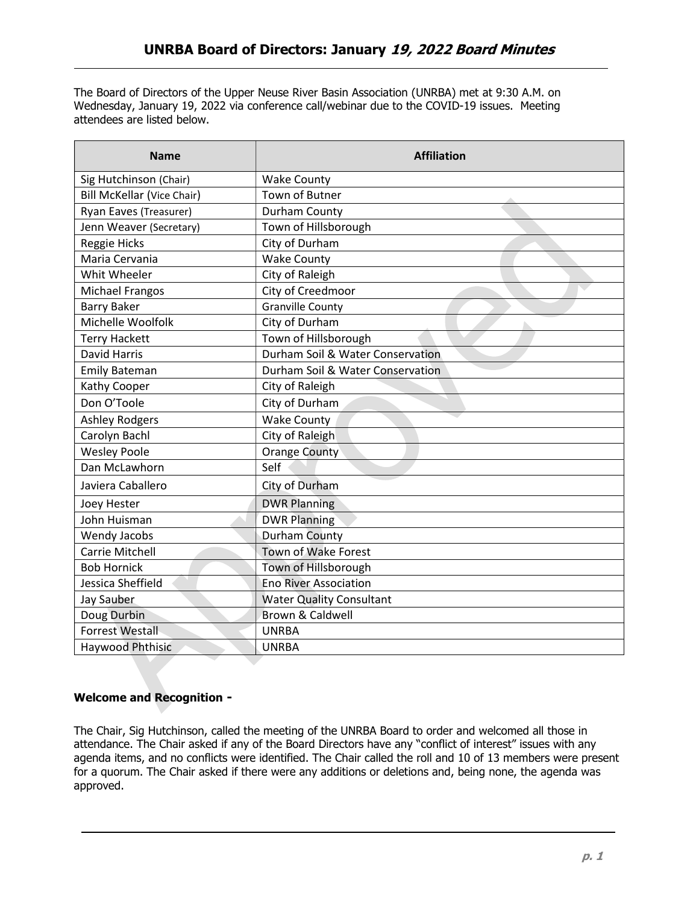The Board of Directors of the Upper Neuse River Basin Association (UNRBA) met at 9:30 A.M. on Wednesday, January 19, 2022 via conference call/webinar due to the COVID-19 issues. Meeting attendees are listed below.

| <b>Name</b>                       | <b>Affiliation</b>               |
|-----------------------------------|----------------------------------|
| Sig Hutchinson (Chair)            | <b>Wake County</b>               |
| <b>Bill McKellar (Vice Chair)</b> | <b>Town of Butner</b>            |
| Ryan Eaves (Treasurer)            | Durham County                    |
| Jenn Weaver (Secretary)           | Town of Hillsborough             |
| <b>Reggie Hicks</b>               | City of Durham                   |
| Maria Cervania                    | <b>Wake County</b>               |
| Whit Wheeler                      | City of Raleigh                  |
| <b>Michael Frangos</b>            | City of Creedmoor                |
| <b>Barry Baker</b>                | <b>Granville County</b>          |
| Michelle Woolfolk                 | City of Durham                   |
| <b>Terry Hackett</b>              | Town of Hillsborough             |
| <b>David Harris</b>               | Durham Soil & Water Conservation |
| <b>Emily Bateman</b>              | Durham Soil & Water Conservation |
| Kathy Cooper                      | City of Raleigh                  |
| Don O'Toole                       | City of Durham                   |
| <b>Ashley Rodgers</b>             | <b>Wake County</b>               |
| Carolyn Bachl                     | City of Raleigh                  |
| <b>Wesley Poole</b>               | <b>Orange County</b>             |
| Dan McLawhorn                     | Self                             |
| Javiera Caballero                 | City of Durham                   |
| Joey Hester                       | <b>DWR Planning</b>              |
| John Huisman                      | <b>DWR Planning</b>              |
| Wendy Jacobs                      | <b>Durham County</b>             |
| <b>Carrie Mitchell</b>            | Town of Wake Forest              |
| <b>Bob Hornick</b>                | Town of Hillsborough             |
| Jessica Sheffield                 | <b>Eno River Association</b>     |
| Jay Sauber                        | <b>Water Quality Consultant</b>  |
| Doug Durbin                       | <b>Brown &amp; Caldwell</b>      |
| <b>Forrest Westall</b>            | <b>UNRBA</b>                     |
| Haywood Phthisic                  | <b>UNRBA</b>                     |

## Welcome and Recognition -

The Chair, Sig Hutchinson, called the meeting of the UNRBA Board to order and welcomed all those in attendance. The Chair asked if any of the Board Directors have any "conflict of interest" issues with any agenda items, and no conflicts were identified. The Chair called the roll and 10 of 13 members were present for a quorum. The Chair asked if there were any additions or deletions and, being none, the agenda was approved.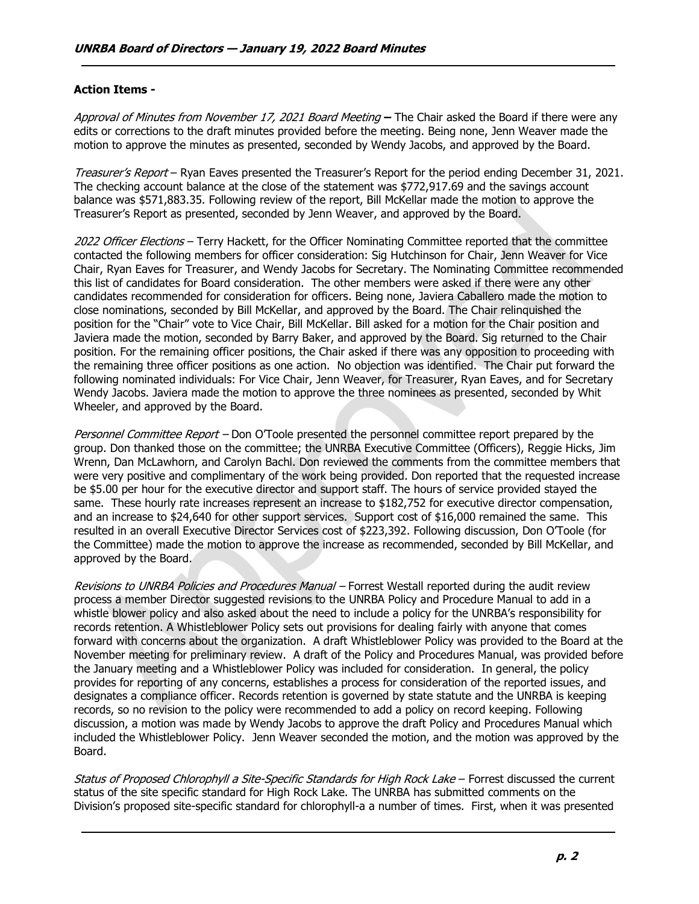## Action Items -

Approval of Minutes from November 17, 2021 Board Meeting – The Chair asked the Board if there were any edits or corrections to the draft minutes provided before the meeting. Being none, Jenn Weaver made the motion to approve the minutes as presented, seconded by Wendy Jacobs, and approved by the Board.

Treasurer's Report – Ryan Eaves presented the Treasurer's Report for the period ending December 31, 2021. The checking account balance at the close of the statement was \$772,917.69 and the savings account balance was \$571,883.35. Following review of the report, Bill McKellar made the motion to approve the Treasurer's Report as presented, seconded by Jenn Weaver, and approved by the Board.

2022 Officer Elections – Terry Hackett, for the Officer Nominating Committee reported that the committee contacted the following members for officer consideration: Sig Hutchinson for Chair, Jenn Weaver for Vice Chair, Ryan Eaves for Treasurer, and Wendy Jacobs for Secretary. The Nominating Committee recommended this list of candidates for Board consideration. The other members were asked if there were any other candidates recommended for consideration for officers. Being none, Javiera Caballero made the motion to close nominations, seconded by Bill McKellar, and approved by the Board. The Chair relinquished the position for the "Chair" vote to Vice Chair, Bill McKellar. Bill asked for a motion for the Chair position and Javiera made the motion, seconded by Barry Baker, and approved by the Board. Sig returned to the Chair position. For the remaining officer positions, the Chair asked if there was any opposition to proceeding with the remaining three officer positions as one action. No objection was identified. The Chair put forward the following nominated individuals: For Vice Chair, Jenn Weaver, for Treasurer, Ryan Eaves, and for Secretary Wendy Jacobs. Javiera made the motion to approve the three nominees as presented, seconded by Whit Wheeler, and approved by the Board.

Personnel Committee Report – Don O'Toole presented the personnel committee report prepared by the group. Don thanked those on the committee; the UNRBA Executive Committee (Officers), Reggie Hicks, Jim Wrenn, Dan McLawhorn, and Carolyn Bachl. Don reviewed the comments from the committee members that were very positive and complimentary of the work being provided. Don reported that the requested increase be \$5.00 per hour for the executive director and support staff. The hours of service provided stayed the same. These hourly rate increases represent an increase to \$182,752 for executive director compensation, and an increase to \$24,640 for other support services. Support cost of \$16,000 remained the same. This resulted in an overall Executive Director Services cost of \$223,392. Following discussion, Don O'Toole (for the Committee) made the motion to approve the increase as recommended, seconded by Bill McKellar, and approved by the Board.

Revisions to UNRBA Policies and Procedures Manual – Forrest Westall reported during the audit review process a member Director suggested revisions to the UNRBA Policy and Procedure Manual to add in a whistle blower policy and also asked about the need to include a policy for the UNRBA's responsibility for records retention. A Whistleblower Policy sets out provisions for dealing fairly with anyone that comes forward with concerns about the organization. A draft Whistleblower Policy was provided to the Board at the November meeting for preliminary review. A draft of the Policy and Procedures Manual, was provided before the January meeting and a Whistleblower Policy was included for consideration. In general, the policy provides for reporting of any concerns, establishes a process for consideration of the reported issues, and designates a compliance officer. Records retention is governed by state statute and the UNRBA is keeping records, so no revision to the policy were recommended to add a policy on record keeping. Following discussion, a motion was made by Wendy Jacobs to approve the draft Policy and Procedures Manual which included the Whistleblower Policy. Jenn Weaver seconded the motion, and the motion was approved by the Board.

Status of Proposed Chlorophyll a Site-Specific Standards for High Rock Lake - Forrest discussed the current status of the site specific standard for High Rock Lake. The UNRBA has submitted comments on the Division's proposed site-specific standard for chlorophyll-a a number of times. First, when it was presented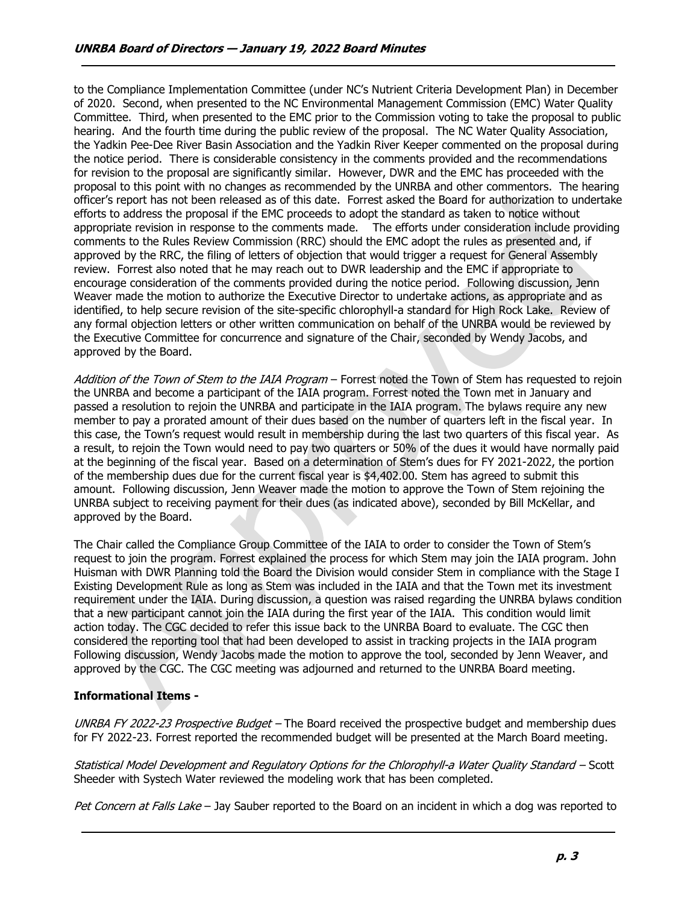to the Compliance Implementation Committee (under NC's Nutrient Criteria Development Plan) in December of 2020. Second, when presented to the NC Environmental Management Commission (EMC) Water Quality Committee. Third, when presented to the EMC prior to the Commission voting to take the proposal to public hearing. And the fourth time during the public review of the proposal. The NC Water Quality Association, the Yadkin Pee-Dee River Basin Association and the Yadkin River Keeper commented on the proposal during the notice period. There is considerable consistency in the comments provided and the recommendations for revision to the proposal are significantly similar. However, DWR and the EMC has proceeded with the proposal to this point with no changes as recommended by the UNRBA and other commentors. The hearing officer's report has not been released as of this date. Forrest asked the Board for authorization to undertake efforts to address the proposal if the EMC proceeds to adopt the standard as taken to notice without appropriate revision in response to the comments made. The efforts under consideration include providing comments to the Rules Review Commission (RRC) should the EMC adopt the rules as presented and, if approved by the RRC, the filing of letters of objection that would trigger a request for General Assembly review. Forrest also noted that he may reach out to DWR leadership and the EMC if appropriate to encourage consideration of the comments provided during the notice period. Following discussion, Jenn Weaver made the motion to authorize the Executive Director to undertake actions, as appropriate and as identified, to help secure revision of the site-specific chlorophyll-a standard for High Rock Lake. Review of any formal objection letters or other written communication on behalf of the UNRBA would be reviewed by the Executive Committee for concurrence and signature of the Chair, seconded by Wendy Jacobs, and approved by the Board.

Addition of the Town of Stem to the IAIA Program – Forrest noted the Town of Stem has requested to rejoin the UNRBA and become a participant of the IAIA program. Forrest noted the Town met in January and passed a resolution to rejoin the UNRBA and participate in the IAIA program. The bylaws require any new member to pay a prorated amount of their dues based on the number of quarters left in the fiscal year. In this case, the Town's request would result in membership during the last two quarters of this fiscal year. As a result, to rejoin the Town would need to pay two quarters or 50% of the dues it would have normally paid at the beginning of the fiscal year. Based on a determination of Stem's dues for FY 2021-2022, the portion of the membership dues due for the current fiscal year is \$4,402.00. Stem has agreed to submit this amount. Following discussion, Jenn Weaver made the motion to approve the Town of Stem rejoining the UNRBA subject to receiving payment for their dues (as indicated above), seconded by Bill McKellar, and approved by the Board.

The Chair called the Compliance Group Committee of the IAIA to order to consider the Town of Stem's request to join the program. Forrest explained the process for which Stem may join the IAIA program. John Huisman with DWR Planning told the Board the Division would consider Stem in compliance with the Stage I Existing Development Rule as long as Stem was included in the IAIA and that the Town met its investment requirement under the IAIA. During discussion, a question was raised regarding the UNRBA bylaws condition that a new participant cannot join the IAIA during the first year of the IAIA. This condition would limit action today. The CGC decided to refer this issue back to the UNRBA Board to evaluate. The CGC then considered the reporting tool that had been developed to assist in tracking projects in the IAIA program Following discussion, Wendy Jacobs made the motion to approve the tool, seconded by Jenn Weaver, and approved by the CGC. The CGC meeting was adjourned and returned to the UNRBA Board meeting.

## Informational Items -

UNRBA FY 2022-23 Prospective Budget – The Board received the prospective budget and membership dues for FY 2022-23. Forrest reported the recommended budget will be presented at the March Board meeting.

Statistical Model Development and Regulatory Options for the Chlorophyll-a Water Quality Standard – Scott Sheeder with Systech Water reviewed the modeling work that has been completed.

Pet Concern at Falls Lake – Jay Sauber reported to the Board on an incident in which a dog was reported to